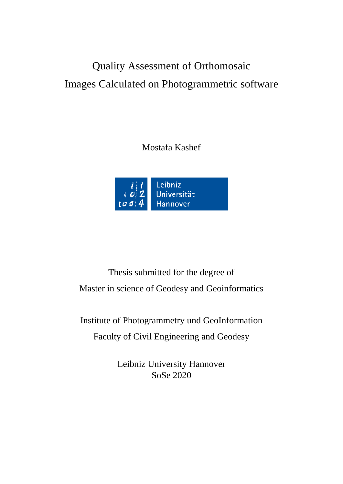## Quality Assessment of Orthomosaic Images Calculated on Photogrammetric software

Mostafa Kashef



Thesis submitted for the degree of Master in science of Geodesy and Geoinformatics

Institute of Photogrammetry und GeoInformation Faculty of Civil Engineering and Geodesy

> Leibniz University Hannover SoSe 2020